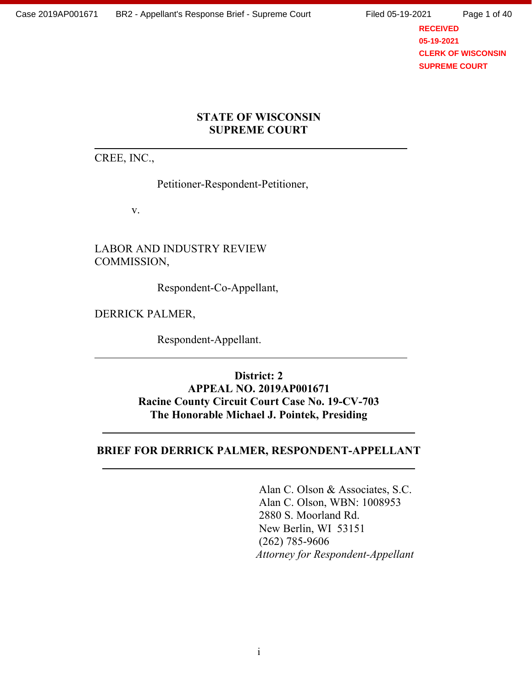**RECEIVED 05-19-2021 CLERK OF WISCONSIN SUPREME COURT**

### **STATE OF WISCONSIN SUPREME COURT**

CREE, INC.,

Petitioner-Respondent-Petitioner,

v.

LABOR AND INDUSTRY REVIEW COMMISSION,

Respondent-Co-Appellant,

DERRICK PALMER,

Respondent-Appellant.

**District: 2 APPEAL NO. 2019AP001671 Racine County Circuit Court Case No. 19-CV-703 The Honorable Michael J. Pointek, Presiding**

#### **BRIEF FOR DERRICK PALMER, RESPONDENT-APPELLANT**

Alan C. Olson & Associates, S.C. Alan C. Olson, WBN: 1008953 2880 S. Moorland Rd. New Berlin, WI 53151 (262) 785-9606  *Attorney for Respondent-Appellant*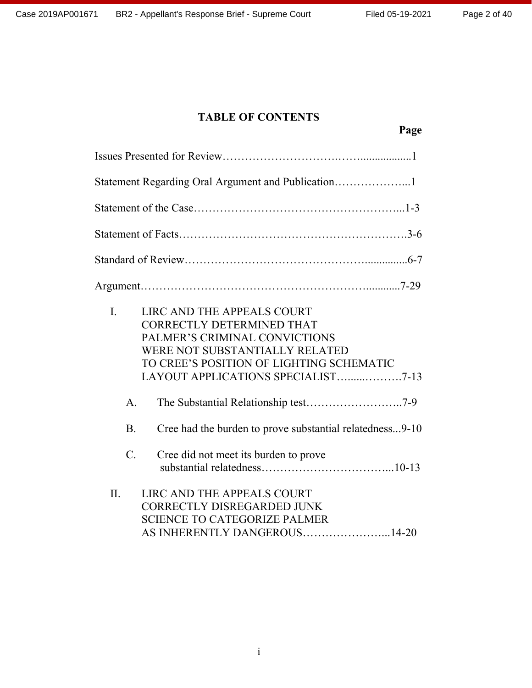# **TABLE OF CONTENTS**

| $\overline{L}$  | LIRC AND THE APPEALS COURT<br>CORRECTLY DETERMINED THAT<br>PALMER'S CRIMINAL CONVICTIONS<br>WERE NOT SUBSTANTIALLY RELATED<br>TO CREE'S POSITION OF LIGHTING SCHEMATIC<br>LAYOUT APPLICATIONS SPECIALIST7-13 |  |
|-----------------|--------------------------------------------------------------------------------------------------------------------------------------------------------------------------------------------------------------|--|
| $\mathbf{A}$ .  |                                                                                                                                                                                                              |  |
| B <sub>1</sub>  | Cree had the burden to prove substantial relatedness9-10                                                                                                                                                     |  |
| $\mathcal{C}$ . | Cree did not meet its burden to prove                                                                                                                                                                        |  |
| II.             | LIRC AND THE APPEALS COURT<br>CORRECTLY DISREGARDED JUNK<br><b>SCIENCE TO CATEGORIZE PALMER</b><br>AS INHERENTLY DANGEROUS14-20                                                                              |  |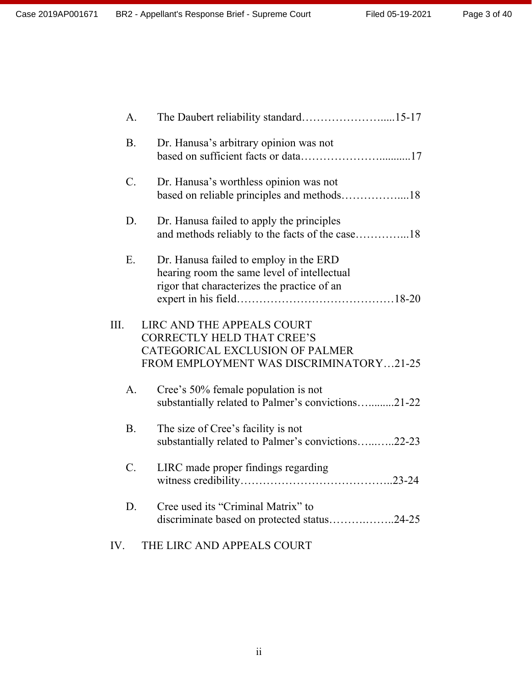Page 3 of 40

| A.              |                                                                                                                                               |
|-----------------|-----------------------------------------------------------------------------------------------------------------------------------------------|
| <b>B.</b>       | Dr. Hanusa's arbitrary opinion was not                                                                                                        |
| $C$ .           | Dr. Hanusa's worthless opinion was not                                                                                                        |
| D.              | Dr. Hanusa failed to apply the principles                                                                                                     |
| E.              | Dr. Hanusa failed to employ in the ERD<br>hearing room the same level of intellectual<br>rigor that characterizes the practice of an          |
| III.            | LIRC AND THE APPEALS COURT<br><b>CORRECTLY HELD THAT CREE'S</b><br>CATEGORICAL EXCLUSION OF PALMER<br>FROM EMPLOYMENT WAS DISCRIMINATORY21-25 |
| $\mathsf{A}$ .  | Cree's 50% female population is not<br>substantially related to Palmer's convictions21-22                                                     |
| <b>B.</b>       | The size of Cree's facility is not<br>substantially related to Palmer's convictions22-23                                                      |
| $\mathcal{C}$ . | LIRC made proper findings regarding                                                                                                           |
| D.              | Cree used its "Criminal Matrix" to<br>discriminate based on protected status24-25                                                             |
| IV.             | THE LIRC AND APPEALS COURT                                                                                                                    |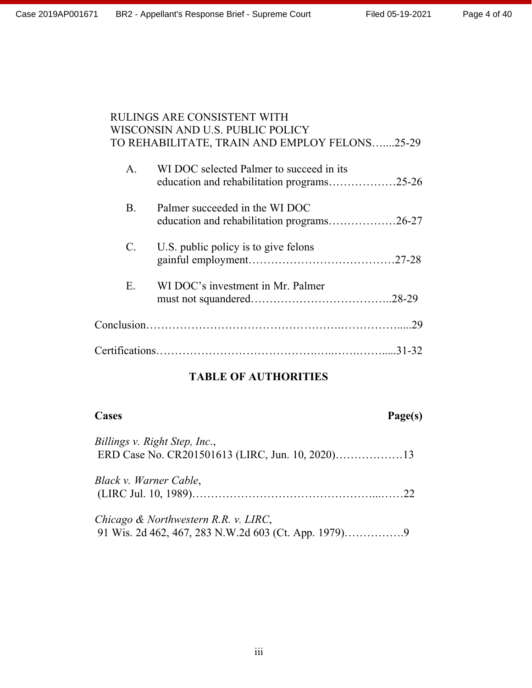# RULINGS ARE CONSISTENT WITH WISCONSIN AND U.S. PUBLIC POLICY TO REHABILITATE, TRAIN AND EMPLOY FELONS…....25-29

| A.          | WI DOC selected Palmer to succeed in its                                     |     |
|-------------|------------------------------------------------------------------------------|-----|
| <b>B</b> .  | Palmer succeeded in the WI DOC<br>education and rehabilitation programs26-27 |     |
| $C_{\cdot}$ | U.S. public policy is to give felons                                         |     |
| $E_{-}$     | WI DOC's investment in Mr. Palmer                                            |     |
|             |                                                                              | .29 |
|             |                                                                              |     |

# **TABLE OF AUTHORITIES**

# **Cases Page(s)**

*Billings v. Right Step, Inc*., ERD Case No. CR201501613 (LIRC, Jun. 10, 2020)………………13

| Black v. Warner Cable, |  |
|------------------------|--|
|                        |  |

*Chicago & Northwestern R.R. v. LIRC*, 91 Wis. 2d 462, 467, 283 N.W.2d 603 (Ct. App. 1979)…………….9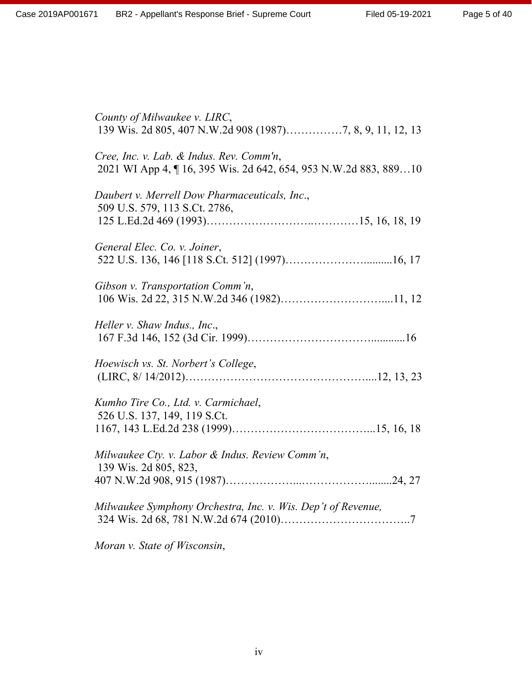| County of Milwaukee v. LIRC,                                                                               |
|------------------------------------------------------------------------------------------------------------|
| Cree, Inc. v. Lab. & Indus. Rev. Comm'n,<br>2021 WI App 4, 16, 395 Wis. 2d 642, 654, 953 N.W.2d 883, 88910 |
| Daubert v. Merrell Dow Pharmaceuticals, Inc.,<br>509 U.S. 579, 113 S.Ct. 2786,                             |
| General Elec. Co. v. Joiner,                                                                               |
| Gibson v. Transportation Comm'n,                                                                           |
| Heller v. Shaw Indus., Inc.,                                                                               |
| Hoewisch vs. St. Norbert's College,                                                                        |
| Kumho Tire Co., Ltd. v. Carmichael,<br>526 U.S. 137, 149, 119 S.Ct.                                        |
| Milwaukee Cty. v. Labor & Indus. Review Comm'n,<br>139 Wis. 2d 805, 823,                                   |
| Milwaukee Symphony Orchestra, Inc. v. Wis. Dep't of Revenue,                                               |
|                                                                                                            |

*Moran v. State of Wisconsin*,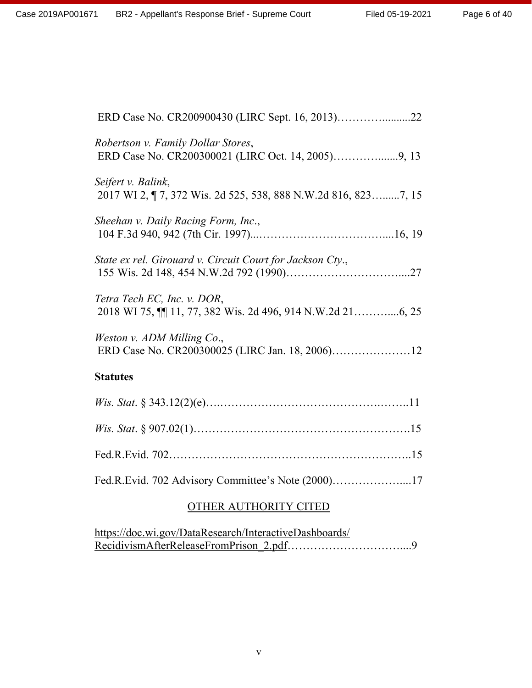| Robertson v. Family Dollar Stores,                                                   |
|--------------------------------------------------------------------------------------|
| Seifert v. Balink,<br>2017 WI 2, ¶ 7, 372 Wis. 2d 525, 538, 888 N.W.2d 816, 8237, 15 |
| Sheehan v. Daily Racing Form, Inc.,                                                  |
| State ex rel. Girouard v. Circuit Court for Jackson Cty.,                            |
| Tetra Tech EC, Inc. v. DOR,                                                          |
| Weston v. ADM Milling Co.,                                                           |
| <b>Statutes</b>                                                                      |
|                                                                                      |
|                                                                                      |

Fed.R.Evid. 702………………………………………………………..15

Fed.R.Evid. 702 Advisory Committee's Note (2000)………………....17

# OTHER AUTHORITY CITED

| https://doc.wi.gov/DataResearch/InteractiveDashboards/ |  |
|--------------------------------------------------------|--|
|                                                        |  |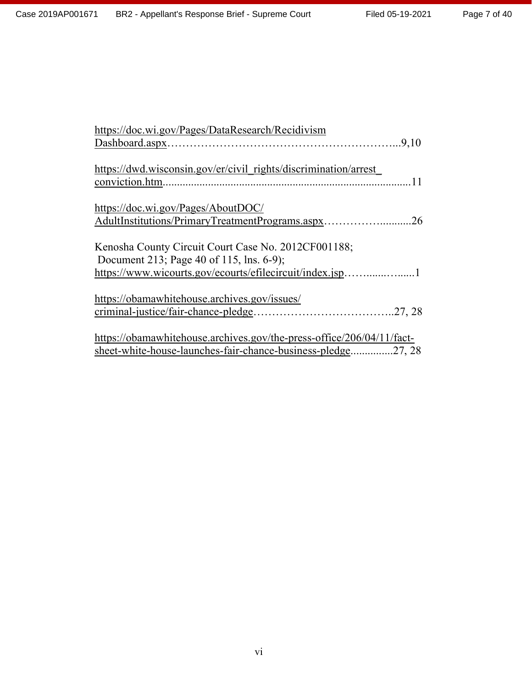| https://doc.wi.gov/Pages/DataResearch/Recidivism                                   |
|------------------------------------------------------------------------------------|
|                                                                                    |
|                                                                                    |
| https://dwd.wisconsin.gov/er/civil rights/discrimination/arrest<br>conviction.htm. |
|                                                                                    |
| https://doc.wi.gov/Pages/AboutDOC/                                                 |
| AdultInstitutions/PrimaryTreatmentPrograms.aspx<br>26                              |
| Kenosha County Circuit Court Case No. 2012CF001188;                                |
| Document 213; Page 40 of 115, lns. 6-9);                                           |
| https://www.wicourts.gov/ecourts/efilecircuit/index.jsp1                           |
| https://obamawhitehouse.archives.gov/issues/                                       |
|                                                                                    |
| https://obamawhitehouse.archives.gov/the-press-office/206/04/11/fact-              |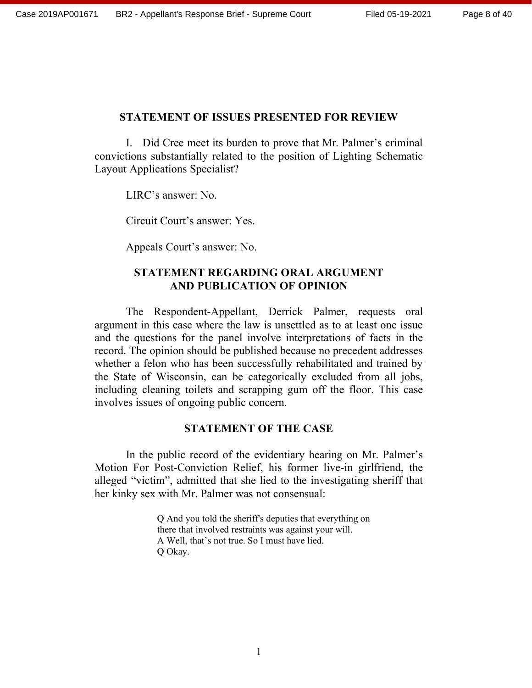#### **STATEMENT OF ISSUES PRESENTED FOR REVIEW**

I. Did Cree meet its burden to prove that Mr. Palmer's criminal convictions substantially related to the position of Lighting Schematic Layout Applications Specialist?

LIRC's answer: No.

Circuit Court's answer: Yes.

Appeals Court's answer: No.

# **STATEMENT REGARDING ORAL ARGUMENT AND PUBLICATION OF OPINION**

The Respondent-Appellant, Derrick Palmer, requests oral argument in this case where the law is unsettled as to at least one issue and the questions for the panel involve interpretations of facts in the record. The opinion should be published because no precedent addresses whether a felon who has been successfully rehabilitated and trained by the State of Wisconsin, can be categorically excluded from all jobs, including cleaning toilets and scrapping gum off the floor. This case involves issues of ongoing public concern.

#### **STATEMENT OF THE CASE**

In the public record of the evidentiary hearing on Mr. Palmer's Motion For Post-Conviction Relief, his former live-in girlfriend, the alleged "victim", admitted that she lied to the investigating sheriff that her kinky sex with Mr. Palmer was not consensual:

> Q And you told the sheriff's deputies that everything on there that involved restraints was against your will. A Well, that's not true. So I must have lied. Q Okay.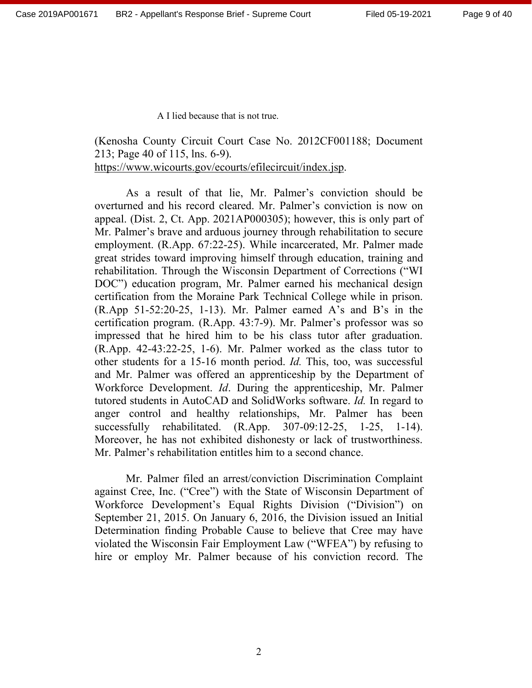A I lied because that is not true.

(Kenosha County Circuit Court Case No. 2012CF001188; Document 213; Page 40 of 115, lns. 6-9). https://www.wicourts.gov/ecourts/efilecircuit/index.jsp.

As a result of that lie, Mr. Palmer's conviction should be overturned and his record cleared. Mr. Palmer's conviction is now on appeal. (Dist. 2, Ct. App. 2021AP000305); however, this is only part of Mr. Palmer's brave and arduous journey through rehabilitation to secure employment. (R.App. 67:22-25). While incarcerated, Mr. Palmer made great strides toward improving himself through education, training and rehabilitation. Through the Wisconsin Department of Corrections ("WI DOC") education program, Mr. Palmer earned his mechanical design certification from the Moraine Park Technical College while in prison. (R.App 51-52:20-25, 1-13). Mr. Palmer earned A's and B's in the certification program. (R.App. 43:7-9). Mr. Palmer's professor was so impressed that he hired him to be his class tutor after graduation. (R.App. 42-43:22-25, 1-6). Mr. Palmer worked as the class tutor to other students for a 15-16 month period. *Id.* This, too, was successful and Mr. Palmer was offered an apprenticeship by the Department of Workforce Development. *Id*. During the apprenticeship, Mr. Palmer tutored students in AutoCAD and SolidWorks software. *Id.* In regard to anger control and healthy relationships, Mr. Palmer has been successfully rehabilitated. (R.App. 307-09:12-25, 1-25, 1-14). Moreover, he has not exhibited dishonesty or lack of trustworthiness. Mr. Palmer's rehabilitation entitles him to a second chance.

Mr. Palmer filed an arrest/conviction Discrimination Complaint against Cree, Inc. ("Cree") with the State of Wisconsin Department of Workforce Development's Equal Rights Division ("Division") on September 21, 2015. On January 6, 2016, the Division issued an Initial Determination finding Probable Cause to believe that Cree may have violated the Wisconsin Fair Employment Law ("WFEA") by refusing to hire or employ Mr. Palmer because of his conviction record. The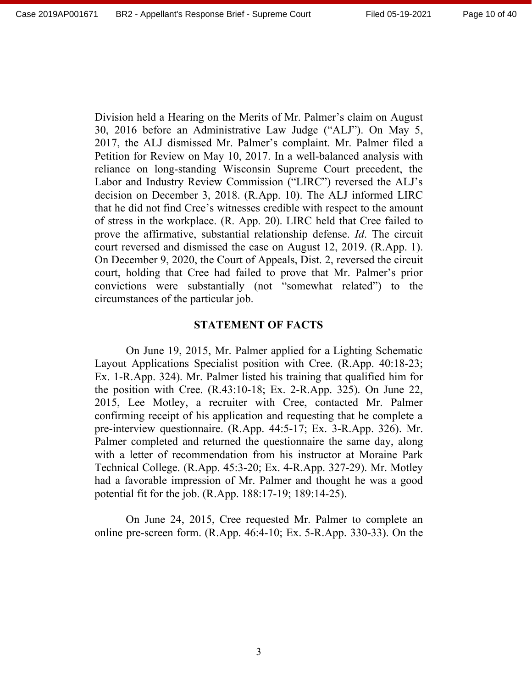Division held a Hearing on the Merits of Mr. Palmer's claim on August 30, 2016 before an Administrative Law Judge ("ALJ"). On May 5, 2017, the ALJ dismissed Mr. Palmer's complaint. Mr. Palmer filed a Petition for Review on May 10, 2017. In a well-balanced analysis with reliance on long-standing Wisconsin Supreme Court precedent, the Labor and Industry Review Commission ("LIRC") reversed the ALJ's decision on December 3, 2018. (R.App. 10). The ALJ informed LIRC that he did not find Cree's witnesses credible with respect to the amount of stress in the workplace. (R. App. 20). LIRC held that Cree failed to prove the affirmative, substantial relationship defense. *Id*. The circuit court reversed and dismissed the case on August 12, 2019. (R.App. 1). On December 9, 2020, the Court of Appeals, Dist. 2, reversed the circuit court, holding that Cree had failed to prove that Mr. Palmer's prior convictions were substantially (not "somewhat related") to the circumstances of the particular job.

#### **STATEMENT OF FACTS**

On June 19, 2015, Mr. Palmer applied for a Lighting Schematic Layout Applications Specialist position with Cree. (R.App. 40:18-23; Ex. 1-R.App. 324). Mr. Palmer listed his training that qualified him for the position with Cree. (R.43:10-18; Ex. 2-R.App. 325). On June 22, 2015, Lee Motley, a recruiter with Cree, contacted Mr. Palmer confirming receipt of his application and requesting that he complete a pre-interview questionnaire. (R.App. 44:5-17; Ex. 3-R.App. 326). Mr. Palmer completed and returned the questionnaire the same day, along with a letter of recommendation from his instructor at Moraine Park Technical College. (R.App. 45:3-20; Ex. 4-R.App. 327-29). Mr. Motley had a favorable impression of Mr. Palmer and thought he was a good potential fit for the job. (R.App. 188:17-19; 189:14-25).

On June 24, 2015, Cree requested Mr. Palmer to complete an online pre-screen form. (R.App. 46:4-10; Ex. 5-R.App. 330-33). On the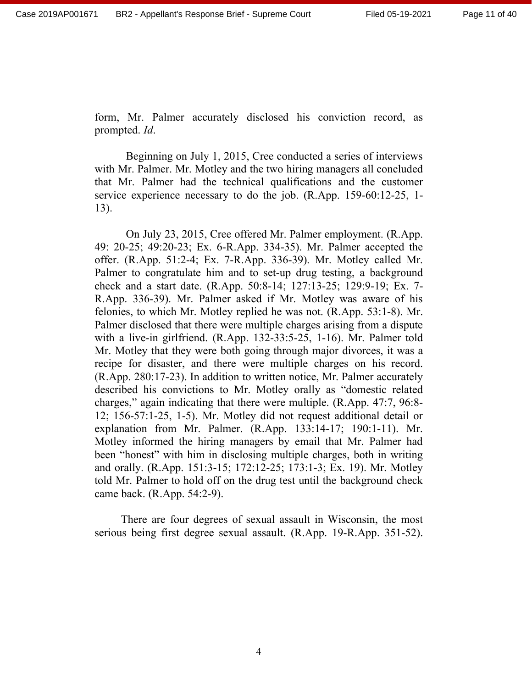form, Mr. Palmer accurately disclosed his conviction record, as prompted. *Id*.

Beginning on July 1, 2015, Cree conducted a series of interviews with Mr. Palmer. Mr. Motley and the two hiring managers all concluded that Mr. Palmer had the technical qualifications and the customer service experience necessary to do the job. (R.App. 159-60:12-25, 1- 13).

On July 23, 2015, Cree offered Mr. Palmer employment. (R.App. 49: 20-25; 49:20-23; Ex. 6-R.App. 334-35). Mr. Palmer accepted the offer. (R.App. 51:2-4; Ex. 7-R.App. 336-39). Mr. Motley called Mr. Palmer to congratulate him and to set-up drug testing, a background check and a start date. (R.App. 50:8-14; 127:13-25; 129:9-19; Ex. 7- R.App. 336-39). Mr. Palmer asked if Mr. Motley was aware of his felonies, to which Mr. Motley replied he was not. (R.App. 53:1-8). Mr. Palmer disclosed that there were multiple charges arising from a dispute with a live-in girlfriend. (R.App. 132-33:5-25, 1-16). Mr. Palmer told Mr. Motley that they were both going through major divorces, it was a recipe for disaster, and there were multiple charges on his record. (R.App. 280:17-23). In addition to written notice, Mr. Palmer accurately described his convictions to Mr. Motley orally as "domestic related charges," again indicating that there were multiple. (R.App. 47:7, 96:8- 12; 156-57:1-25, 1-5). Mr. Motley did not request additional detail or explanation from Mr. Palmer. (R.App. 133:14-17; 190:1-11). Mr. Motley informed the hiring managers by email that Mr. Palmer had been "honest" with him in disclosing multiple charges, both in writing and orally. (R.App. 151:3-15; 172:12-25; 173:1-3; Ex. 19). Mr. Motley told Mr. Palmer to hold off on the drug test until the background check came back. (R.App. 54:2-9).

There are four degrees of sexual assault in Wisconsin, the most serious being first degree sexual assault. (R.App. 19-R.App. 351-52).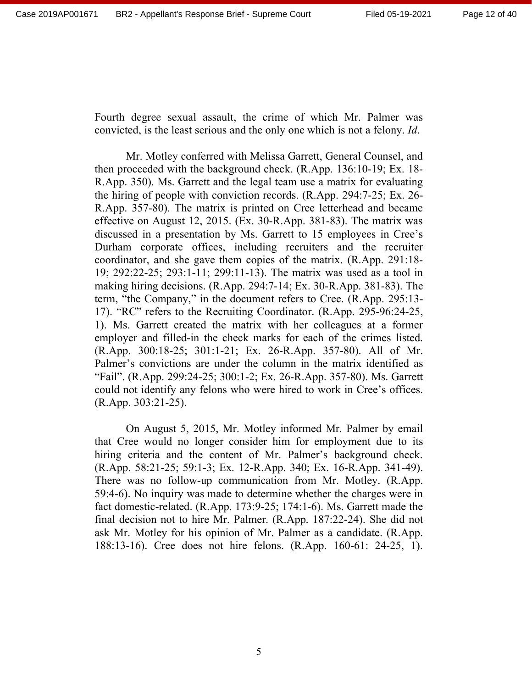Fourth degree sexual assault, the crime of which Mr. Palmer was convicted, is the least serious and the only one which is not a felony. *Id*.

Mr. Motley conferred with Melissa Garrett, General Counsel, and then proceeded with the background check. (R.App. 136:10-19; Ex. 18- R.App. 350). Ms. Garrett and the legal team use a matrix for evaluating the hiring of people with conviction records. (R.App. 294:7-25; Ex. 26- R.App. 357-80). The matrix is printed on Cree letterhead and became effective on August 12, 2015. (Ex. 30-R.App. 381-83). The matrix was discussed in a presentation by Ms. Garrett to 15 employees in Cree's Durham corporate offices, including recruiters and the recruiter coordinator, and she gave them copies of the matrix. (R.App. 291:18- 19; 292:22-25; 293:1-11; 299:11-13). The matrix was used as a tool in making hiring decisions. (R.App. 294:7-14; Ex. 30-R.App. 381-83). The term, "the Company," in the document refers to Cree. (R.App. 295:13- 17). "RC" refers to the Recruiting Coordinator. (R.App. 295-96:24-25, 1). Ms. Garrett created the matrix with her colleagues at a former employer and filled-in the check marks for each of the crimes listed. (R.App. 300:18-25; 301:1-21; Ex. 26-R.App. 357-80). All of Mr. Palmer's convictions are under the column in the matrix identified as "Fail". (R.App. 299:24-25; 300:1-2; Ex. 26-R.App. 357-80). Ms. Garrett could not identify any felons who were hired to work in Cree's offices. (R.App. 303:21-25).

On August 5, 2015, Mr. Motley informed Mr. Palmer by email that Cree would no longer consider him for employment due to its hiring criteria and the content of Mr. Palmer's background check. (R.App. 58:21-25; 59:1-3; Ex. 12-R.App. 340; Ex. 16-R.App. 341-49). There was no follow-up communication from Mr. Motley. (R.App. 59:4-6). No inquiry was made to determine whether the charges were in fact domestic-related. (R.App. 173:9-25; 174:1-6). Ms. Garrett made the final decision not to hire Mr. Palmer. (R.App. 187:22-24). She did not ask Mr. Motley for his opinion of Mr. Palmer as a candidate. (R.App. 188:13-16). Cree does not hire felons. (R.App. 160-61: 24-25, 1).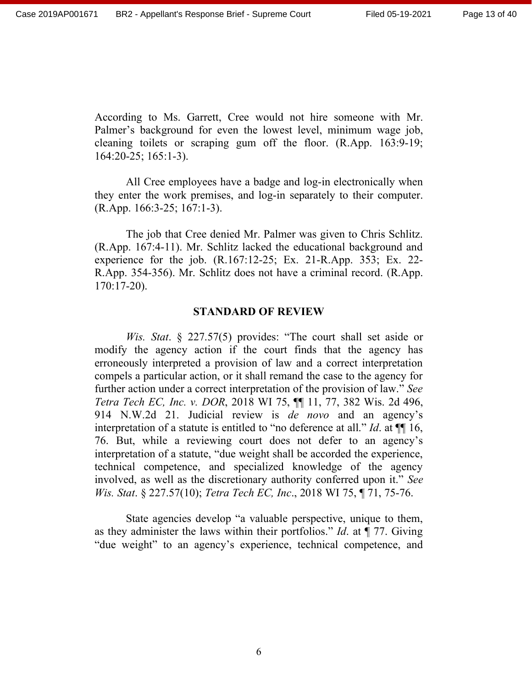According to Ms. Garrett, Cree would not hire someone with Mr. Palmer's background for even the lowest level, minimum wage job, cleaning toilets or scraping gum off the floor. (R.App. 163:9-19; 164:20-25; 165:1-3).

All Cree employees have a badge and log-in electronically when they enter the work premises, and log-in separately to their computer. (R.App. 166:3-25; 167:1-3).

The job that Cree denied Mr. Palmer was given to Chris Schlitz. (R.App. 167:4-11). Mr. Schlitz lacked the educational background and experience for the job. (R.167:12-25; Ex. 21-R.App. 353; Ex. 22- R.App. 354-356). Mr. Schlitz does not have a criminal record. (R.App. 170:17-20).

#### **STANDARD OF REVIEW**

*Wis. Stat*. § 227.57(5) provides: "The court shall set aside or modify the agency action if the court finds that the agency has erroneously interpreted a provision of law and a correct interpretation compels a particular action, or it shall remand the case to the agency for further action under a correct interpretation of the provision of law." *See Tetra Tech EC, Inc. v. DOR*, 2018 WI 75, ¶¶ 11, 77, 382 Wis. 2d 496, 914 N.W.2d 21. Judicial review is *de novo* and an agency's interpretation of a statute is entitled to "no deference at all." *Id*. at ¶¶ 16, 76. But, while a reviewing court does not defer to an agency's interpretation of a statute, "due weight shall be accorded the experience, technical competence, and specialized knowledge of the agency involved, as well as the discretionary authority conferred upon it." *See Wis. Stat*. § 227.57(10); *Tetra Tech EC, Inc*., 2018 WI 75, ¶ 71, 75-76.

State agencies develop "a valuable perspective, unique to them, as they administer the laws within their portfolios." *Id*. at ¶ 77. Giving "due weight" to an agency's experience, technical competence, and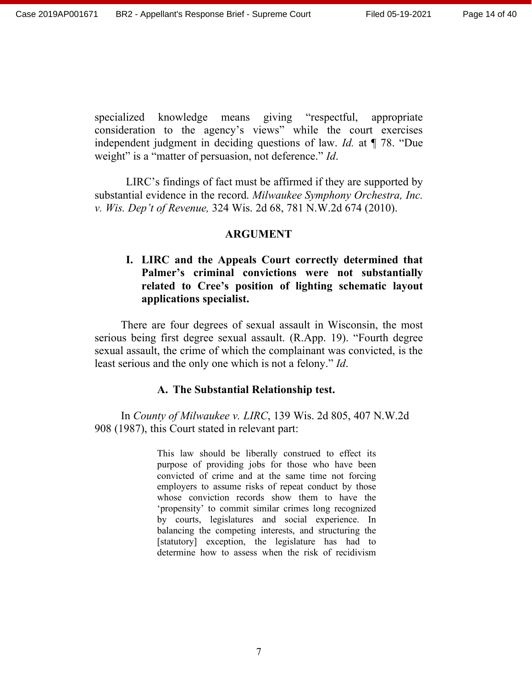specialized knowledge means giving "respectful, appropriate consideration to the agency's views" while the court exercises independent judgment in deciding questions of law. *Id.* at ¶ 78. "Due weight" is a "matter of persuasion, not deference." *Id*.

LIRC's findings of fact must be affirmed if they are supported by substantial evidence in the record. *Milwaukee Symphony Orchestra, Inc. v. Wis. Dep't of Revenue,* 324 Wis. 2d 68, 781 N.W.2d 674 (2010).

#### **ARGUMENT**

# **I. LIRC and the Appeals Court correctly determined that Palmer's criminal convictions were not substantially related to Cree's position of lighting schematic layout applications specialist.**

There are four degrees of sexual assault in Wisconsin, the most serious being first degree sexual assault. (R.App. 19). "Fourth degree sexual assault, the crime of which the complainant was convicted, is the least serious and the only one which is not a felony." *Id*.

#### **A. The Substantial Relationship test.**

In *County of Milwaukee v. LIRC*, 139 Wis. 2d 805, 407 N.W.2d 908 (1987), this Court stated in relevant part:

> This law should be liberally construed to effect its purpose of providing jobs for those who have been convicted of crime and at the same time not forcing employers to assume risks of repeat conduct by those whose conviction records show them to have the 'propensity' to commit similar crimes long recognized by courts, legislatures and social experience. In balancing the competing interests, and structuring the [statutory] exception, the legislature has had to determine how to assess when the risk of recidivism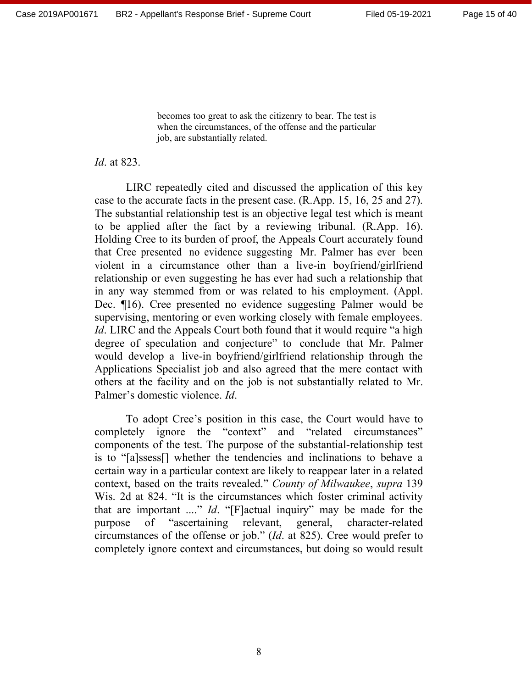Page 15 of 40

becomes too great to ask the citizenry to bear. The test is when the circumstances, of the offense and the particular job, are substantially related.

*Id*. at 823.

LIRC repeatedly cited and discussed the application of this key case to the accurate facts in the present case. (R.App. 15, 16, 25 and 27). The substantial relationship test is an objective legal test which is meant to be applied after the fact by a reviewing tribunal. (R.App. 16). Holding Cree to its burden of proof, the Appeals Court accurately found that Cree presented no evidence suggesting Mr. Palmer has ever been violent in a circumstance other than a live-in boyfriend/girlfriend relationship or even suggesting he has ever had such a relationship that in any way stemmed from or was related to his employment. (Appl. Dec. ¶16). Cree presented no evidence suggesting Palmer would be supervising, mentoring or even working closely with female employees. *Id*. LIRC and the Appeals Court both found that it would require "a high degree of speculation and conjecture" to conclude that Mr. Palmer would develop a live-in boyfriend/girlfriend relationship through the Applications Specialist job and also agreed that the mere contact with others at the facility and on the job is not substantially related to Mr. Palmer's domestic violence. *Id*.

To adopt Cree's position in this case, the Court would have to completely ignore the "context" and "related circumstances" components of the test. The purpose of the substantial-relationship test is to "[a]ssess[] whether the tendencies and inclinations to behave a certain way in a particular context are likely to reappear later in a related context, based on the traits revealed." *County of Milwaukee*, *supra* 139 Wis. 2d at 824. "It is the circumstances which foster criminal activity that are important ...." *Id*. "[F]actual inquiry" may be made for the purpose of "ascertaining relevant, general, character-related circumstances of the offense or job." (*Id*. at 825). Cree would prefer to completely ignore context and circumstances, but doing so would result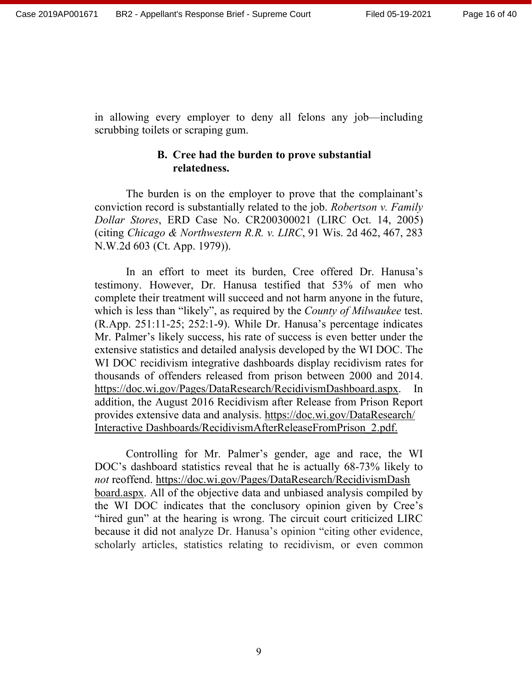in allowing every employer to deny all felons any job—including scrubbing toilets or scraping gum.

#### **B. Cree had the burden to prove substantial relatedness.**

The burden is on the employer to prove that the complainant's conviction record is substantially related to the job. *Robertson v. Family Dollar Stores*, ERD Case No. CR200300021 (LIRC Oct. 14, 2005) (citing *Chicago & Northwestern R.R. v. LIRC*, 91 Wis. 2d 462, 467, 283 N.W.2d 603 (Ct. App. 1979)).

In an effort to meet its burden, Cree offered Dr. Hanusa's testimony. However, Dr. Hanusa testified that 53% of men who complete their treatment will succeed and not harm anyone in the future, which is less than "likely", as required by the *County of Milwaukee* test. (R.App. 251:11-25; 252:1-9). While Dr. Hanusa's percentage indicates Mr. Palmer's likely success, his rate of success is even better under the extensive statistics and detailed analysis developed by the WI DOC. The WI DOC recidivism integrative dashboards display recidivism rates for thousands of offenders released from prison between 2000 and 2014. https://doc.wi.gov/Pages/DataResearch/RecidivismDashboard.aspx. In addition, the August 2016 Recidivism after Release from Prison Report provides extensive data and analysis. https://doc.wi.gov/DataResearch/ Interactive Dashboards/RecidivismAfterReleaseFromPrison\_2.pdf.

Controlling for Mr. Palmer's gender, age and race, the WI DOC's dashboard statistics reveal that he is actually 68-73% likely to *not* reoffend. https://doc.wi.gov/Pages/DataResearch/RecidivismDash board.aspx. All of the objective data and unbiased analysis compiled by the WI DOC indicates that the conclusory opinion given by Cree's "hired gun" at the hearing is wrong. The circuit court criticized LIRC because it did not analyze Dr. Hanusa's opinion "citing other evidence, scholarly articles, statistics relating to recidivism, or even common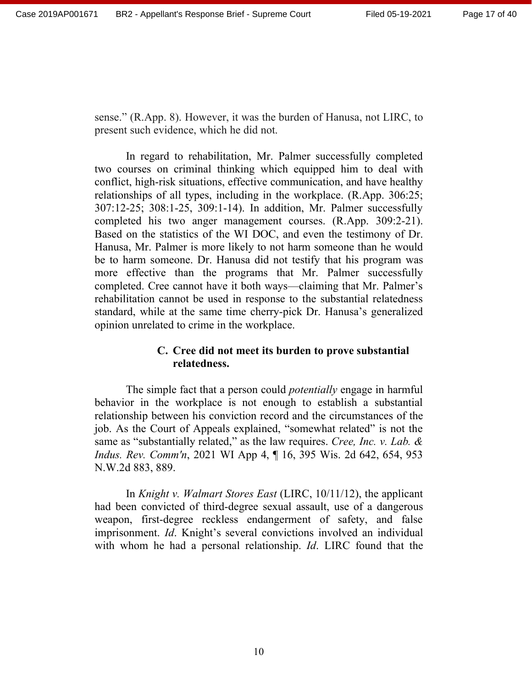sense." (R.App. 8). However, it was the burden of Hanusa, not LIRC, to present such evidence, which he did not.

In regard to rehabilitation, Mr. Palmer successfully completed two courses on criminal thinking which equipped him to deal with conflict, high-risk situations, effective communication, and have healthy relationships of all types, including in the workplace. (R.App. 306:25; 307:12-25; 308:1-25, 309:1-14). In addition, Mr. Palmer successfully completed his two anger management courses. (R.App. 309:2-21). Based on the statistics of the WI DOC, and even the testimony of Dr. Hanusa, Mr. Palmer is more likely to not harm someone than he would be to harm someone. Dr. Hanusa did not testify that his program was more effective than the programs that Mr. Palmer successfully completed. Cree cannot have it both ways—claiming that Mr. Palmer's rehabilitation cannot be used in response to the substantial relatedness standard, while at the same time cherry-pick Dr. Hanusa's generalized opinion unrelated to crime in the workplace.

# **C. Cree did not meet its burden to prove substantial relatedness.**

The simple fact that a person could *potentially* engage in harmful behavior in the workplace is not enough to establish a substantial relationship between his conviction record and the circumstances of the job. As the Court of Appeals explained, "somewhat related" is not the same as "substantially related," as the law requires. *Cree, Inc. v. Lab. & Indus. Rev. Comm'n*, 2021 WI App 4, ¶ 16, 395 Wis. 2d 642, 654, 953 N.W.2d 883, 889.

In *Knight v. Walmart Stores East* (LIRC, 10/11/12), the applicant had been convicted of third-degree sexual assault, use of a dangerous weapon, first-degree reckless endangerment of safety, and false imprisonment. *Id*. Knight's several convictions involved an individual with whom he had a personal relationship. *Id*. LIRC found that the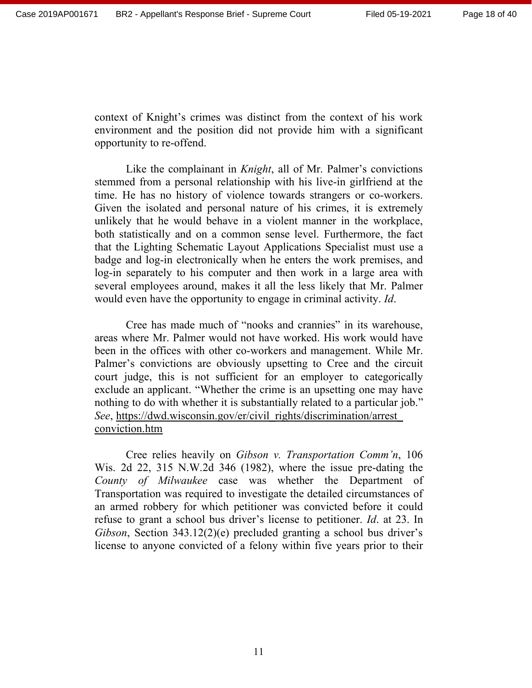context of Knight's crimes was distinct from the context of his work environment and the position did not provide him with a significant opportunity to re-offend.

Like the complainant in *Knight*, all of Mr. Palmer's convictions stemmed from a personal relationship with his live-in girlfriend at the time. He has no history of violence towards strangers or co-workers. Given the isolated and personal nature of his crimes, it is extremely unlikely that he would behave in a violent manner in the workplace, both statistically and on a common sense level. Furthermore, the fact that the Lighting Schematic Layout Applications Specialist must use a badge and log-in electronically when he enters the work premises, and log-in separately to his computer and then work in a large area with several employees around, makes it all the less likely that Mr. Palmer would even have the opportunity to engage in criminal activity. *Id*.

Cree has made much of "nooks and crannies" in its warehouse, areas where Mr. Palmer would not have worked. His work would have been in the offices with other co-workers and management. While Mr. Palmer's convictions are obviously upsetting to Cree and the circuit court judge, this is not sufficient for an employer to categorically exclude an applicant. "Whether the crime is an upsetting one may have nothing to do with whether it is substantially related to a particular job." *See*, https://dwd.wisconsin.gov/er/civil\_rights/discrimination/arrest\_ conviction.htm

Cree relies heavily on *Gibson v. Transportation Comm'n*, 106 Wis. 2d 22, 315 N.W.2d 346 (1982), where the issue pre-dating the *County of Milwaukee* case was whether the Department of Transportation was required to investigate the detailed circumstances of an armed robbery for which petitioner was convicted before it could refuse to grant a school bus driver's license to petitioner. *Id*. at 23. In *Gibson*, Section 343.12(2)(e) precluded granting a school bus driver's license to anyone convicted of a felony within five years prior to their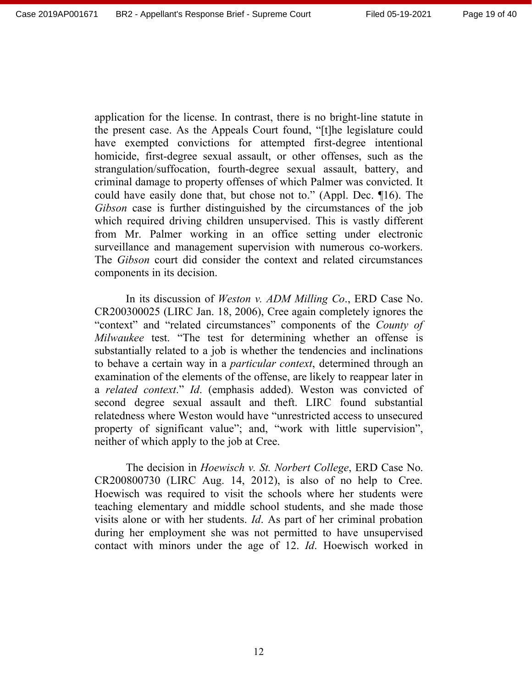application for the license. In contrast, there is no bright-line statute in the present case. As the Appeals Court found, "[t]he legislature could have exempted convictions for attempted first-degree intentional homicide, first-degree sexual assault, or other offenses, such as the strangulation/suffocation, fourth-degree sexual assault, battery, and criminal damage to property offenses of which Palmer was convicted. It could have easily done that, but chose not to." (Appl. Dec. ¶16). The *Gibson* case is further distinguished by the circumstances of the job which required driving children unsupervised. This is vastly different from Mr. Palmer working in an office setting under electronic surveillance and management supervision with numerous co-workers. The *Gibson* court did consider the context and related circumstances components in its decision.

In its discussion of *Weston v. ADM Milling Co*., ERD Case No. CR200300025 (LIRC Jan. 18, 2006), Cree again completely ignores the "context" and "related circumstances" components of the *County of Milwaukee* test. "The test for determining whether an offense is substantially related to a job is whether the tendencies and inclinations to behave a certain way in a *particular context*, determined through an examination of the elements of the offense, are likely to reappear later in a *related context*." *Id*. (emphasis added). Weston was convicted of second degree sexual assault and theft. LIRC found substantial relatedness where Weston would have "unrestricted access to unsecured property of significant value"; and, "work with little supervision", neither of which apply to the job at Cree.

The decision in *Hoewisch v. St. Norbert College*, ERD Case No. CR200800730 (LIRC Aug. 14, 2012), is also of no help to Cree. Hoewisch was required to visit the schools where her students were teaching elementary and middle school students, and she made those visits alone or with her students. *Id*. As part of her criminal probation during her employment she was not permitted to have unsupervised contact with minors under the age of 12. *Id*. Hoewisch worked in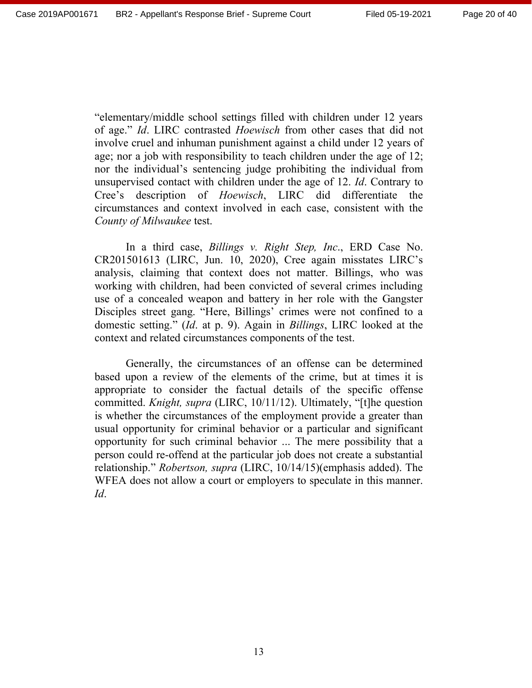"elementary/middle school settings filled with children under 12 years of age." *Id*. LIRC contrasted *Hoewisch* from other cases that did not involve cruel and inhuman punishment against a child under 12 years of age; nor a job with responsibility to teach children under the age of 12; nor the individual's sentencing judge prohibiting the individual from unsupervised contact with children under the age of 12. *Id*. Contrary to Cree's description of *Hoewisch*, LIRC did differentiate the circumstances and context involved in each case, consistent with the *County of Milwaukee* test.

In a third case, *Billings v. Right Step, Inc*., ERD Case No. CR201501613 (LIRC, Jun. 10, 2020), Cree again misstates LIRC's analysis, claiming that context does not matter. Billings, who was working with children, had been convicted of several crimes including use of a concealed weapon and battery in her role with the Gangster Disciples street gang. "Here, Billings' crimes were not confined to a domestic setting." (*Id*. at p. 9). Again in *Billings*, LIRC looked at the context and related circumstances components of the test.

Generally, the circumstances of an offense can be determined based upon a review of the elements of the crime, but at times it is appropriate to consider the factual details of the specific offense committed. *Knight, supra* (LIRC, 10/11/12). Ultimately, "[t]he question is whether the circumstances of the employment provide a greater than usual opportunity for criminal behavior or a particular and significant opportunity for such criminal behavior ... The mere possibility that a person could re-offend at the particular job does not create a substantial relationship." *Robertson, supra* (LIRC, 10/14/15)(emphasis added). The WFEA does not allow a court or employers to speculate in this manner. *Id*.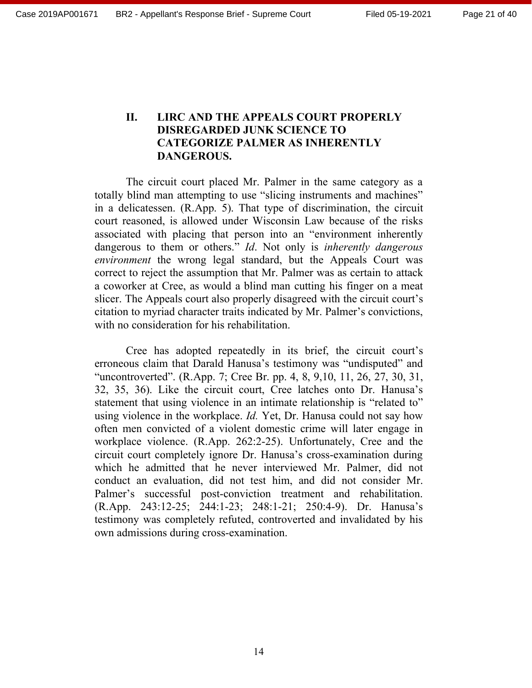### **II. LIRC AND THE APPEALS COURT PROPERLY DISREGARDED JUNK SCIENCE TO CATEGORIZE PALMER AS INHERENTLY DANGEROUS.**

The circuit court placed Mr. Palmer in the same category as a totally blind man attempting to use "slicing instruments and machines" in a delicatessen. (R.App. 5). That type of discrimination, the circuit court reasoned, is allowed under Wisconsin Law because of the risks associated with placing that person into an "environment inherently dangerous to them or others." *Id*. Not only is *inherently dangerous environment* the wrong legal standard, but the Appeals Court was correct to reject the assumption that Mr. Palmer was as certain to attack a coworker at Cree, as would a blind man cutting his finger on a meat slicer. The Appeals court also properly disagreed with the circuit court's citation to myriad character traits indicated by Mr. Palmer's convictions, with no consideration for his rehabilitation.

Cree has adopted repeatedly in its brief, the circuit court's erroneous claim that Darald Hanusa's testimony was "undisputed" and "uncontroverted". (R.App. 7; Cree Br. pp. 4, 8, 9,10, 11, 26, 27, 30, 31, 32, 35, 36). Like the circuit court, Cree latches onto Dr. Hanusa's statement that using violence in an intimate relationship is "related to" using violence in the workplace. *Id.* Yet, Dr. Hanusa could not say how often men convicted of a violent domestic crime will later engage in workplace violence. (R.App. 262:2-25). Unfortunately, Cree and the circuit court completely ignore Dr. Hanusa's cross-examination during which he admitted that he never interviewed Mr. Palmer, did not conduct an evaluation, did not test him, and did not consider Mr. Palmer's successful post-conviction treatment and rehabilitation. (R.App. 243:12-25; 244:1-23; 248:1-21; 250:4-9). Dr. Hanusa's testimony was completely refuted, controverted and invalidated by his own admissions during cross-examination.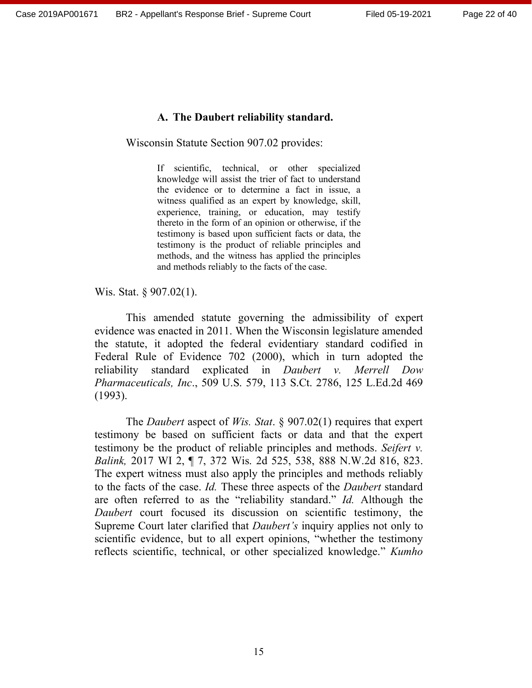#### **A. The Daubert reliability standard.**

Wisconsin Statute Section 907.02 provides:

If scientific, technical, or other specialized knowledge will assist the trier of fact to understand the evidence or to determine a fact in issue, a witness qualified as an expert by knowledge, skill, experience, training, or education, may testify thereto in the form of an opinion or otherwise, if the testimony is based upon sufficient facts or data, the testimony is the product of reliable principles and methods, and the witness has applied the principles and methods reliably to the facts of the case.

Wis. Stat. § 907.02(1).

This amended statute governing the admissibility of expert evidence was enacted in 2011. When the Wisconsin legislature amended the statute, it adopted the federal evidentiary standard codified in Federal Rule of Evidence 702 (2000), which in turn adopted the reliability standard explicated in *Daubert v. Merrell Dow Pharmaceuticals, Inc*., 509 U.S. 579, 113 S.Ct. 2786, 125 L.Ed.2d 469 (1993).

The *Daubert* aspect of *Wis. Stat*. § 907.02(1) requires that expert testimony be based on sufficient facts or data and that the expert testimony be the product of reliable principles and methods. *Seifert v. Balink,* 2017 WI 2, ¶ 7, 372 Wis. 2d 525, 538, 888 N.W.2d 816, 823. The expert witness must also apply the principles and methods reliably to the facts of the case. *Id.* These three aspects of the *Daubert* standard are often referred to as the "reliability standard." *Id.* Although the *Daubert* court focused its discussion on scientific testimony, the Supreme Court later clarified that *Daubert's* inquiry applies not only to scientific evidence, but to all expert opinions, "whether the testimony reflects scientific, technical, or other specialized knowledge." *Kumho*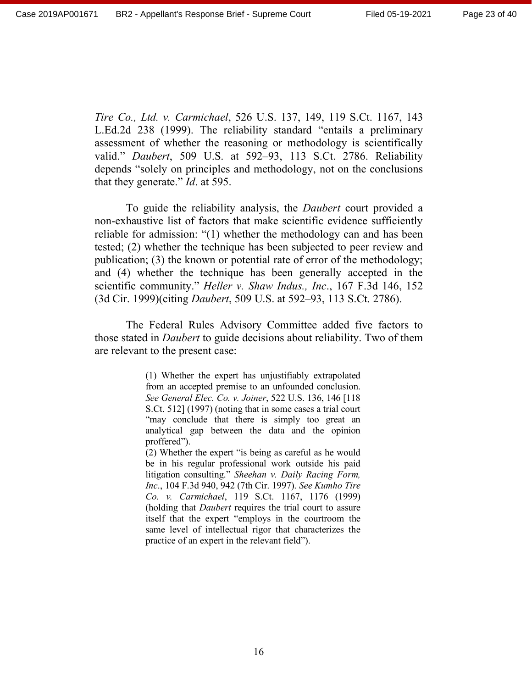*Tire Co., Ltd. v. Carmichael*, 526 U.S. 137, 149, 119 S.Ct. 1167, 143 L.Ed.2d 238 (1999). The reliability standard "entails a preliminary assessment of whether the reasoning or methodology is scientifically valid." *Daubert*, 509 U.S. at 592–93, 113 S.Ct. 2786. Reliability depends "solely on principles and methodology, not on the conclusions that they generate." *Id*. at 595.

To guide the reliability analysis, the *Daubert* court provided a non-exhaustive list of factors that make scientific evidence sufficiently reliable for admission: "(1) whether the methodology can and has been tested; (2) whether the technique has been subjected to peer review and publication; (3) the known or potential rate of error of the methodology; and (4) whether the technique has been generally accepted in the scientific community." *Heller v. Shaw Indus., Inc*., 167 F.3d 146, 152 (3d Cir. 1999)(citing *Daubert*, 509 U.S. at 592–93, 113 S.Ct. 2786).

The Federal Rules Advisory Committee added five factors to those stated in *Daubert* to guide decisions about reliability. Two of them are relevant to the present case:

> (1) Whether the expert has unjustifiably extrapolated from an accepted premise to an unfounded conclusion. *See General Elec. Co. v. Joiner*, 522 U.S. 136, 146 [118 S.Ct. 512] (1997) (noting that in some cases a trial court "may conclude that there is simply too great an analytical gap between the data and the opinion proffered").

> (2) Whether the expert "is being as careful as he would be in his regular professional work outside his paid litigation consulting." *Sheehan v. Daily Racing Form, Inc*., 104 F.3d 940, 942 (7th Cir. 1997). *See Kumho Tire Co. v. Carmichael*, 119 S.Ct. 1167, 1176 (1999) (holding that *Daubert* requires the trial court to assure itself that the expert "employs in the courtroom the same level of intellectual rigor that characterizes the practice of an expert in the relevant field").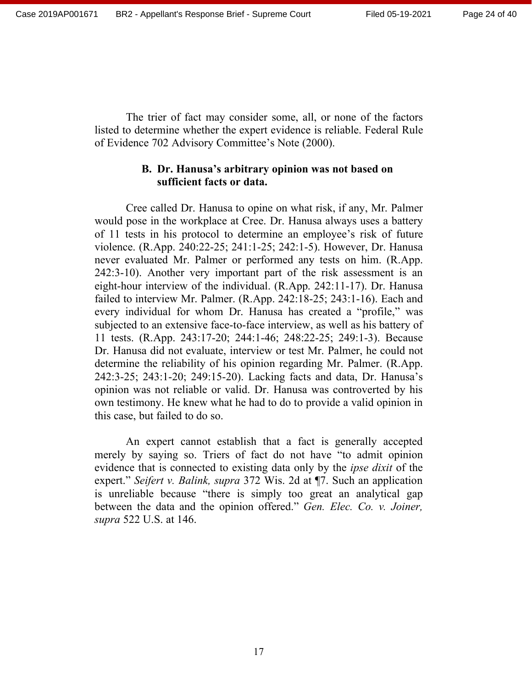The trier of fact may consider some, all, or none of the factors listed to determine whether the expert evidence is reliable. Federal Rule of Evidence 702 Advisory Committee's Note (2000).

#### **B. Dr. Hanusa's arbitrary opinion was not based on sufficient facts or data.**

Cree called Dr. Hanusa to opine on what risk, if any, Mr. Palmer would pose in the workplace at Cree. Dr. Hanusa always uses a battery of 11 tests in his protocol to determine an employee's risk of future violence. (R.App. 240:22-25; 241:1-25; 242:1-5). However, Dr. Hanusa never evaluated Mr. Palmer or performed any tests on him. (R.App. 242:3-10). Another very important part of the risk assessment is an eight-hour interview of the individual. (R.App. 242:11-17). Dr. Hanusa failed to interview Mr. Palmer. (R.App. 242:18-25; 243:1-16). Each and every individual for whom Dr. Hanusa has created a "profile," was subjected to an extensive face-to-face interview, as well as his battery of 11 tests. (R.App. 243:17-20; 244:1-46; 248:22-25; 249:1-3). Because Dr. Hanusa did not evaluate, interview or test Mr. Palmer, he could not determine the reliability of his opinion regarding Mr. Palmer. (R.App. 242:3-25; 243:1-20; 249:15-20). Lacking facts and data, Dr. Hanusa's opinion was not reliable or valid. Dr. Hanusa was controverted by his own testimony. He knew what he had to do to provide a valid opinion in this case, but failed to do so.

An expert cannot establish that a fact is generally accepted merely by saying so. Triers of fact do not have "to admit opinion evidence that is connected to existing data only by the *ipse dixit* of the expert." *Seifert v. Balink, supra* 372 Wis. 2d at ¶7. Such an application is unreliable because "there is simply too great an analytical gap between the data and the opinion offered." *Gen. Elec. Co. v. Joiner, supra* 522 U.S. at 146.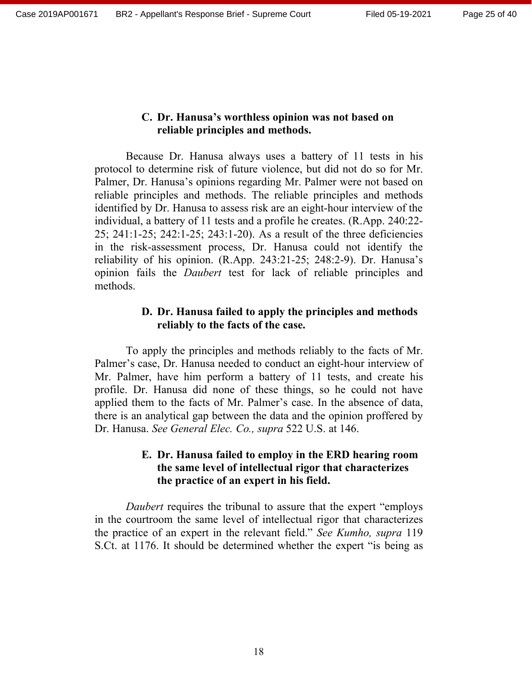#### **C. Dr. Hanusa's worthless opinion was not based on reliable principles and methods.**

Because Dr. Hanusa always uses a battery of 11 tests in his protocol to determine risk of future violence, but did not do so for Mr. Palmer, Dr. Hanusa's opinions regarding Mr. Palmer were not based on reliable principles and methods. The reliable principles and methods identified by Dr. Hanusa to assess risk are an eight-hour interview of the individual, a battery of 11 tests and a profile he creates. (R.App. 240:22- 25; 241:1-25; 242:1-25; 243:1-20). As a result of the three deficiencies in the risk-assessment process, Dr. Hanusa could not identify the reliability of his opinion. (R.App. 243:21-25; 248:2-9). Dr. Hanusa's opinion fails the *Daubert* test for lack of reliable principles and methods.

# **D. Dr. Hanusa failed to apply the principles and methods reliably to the facts of the case.**

To apply the principles and methods reliably to the facts of Mr. Palmer's case, Dr. Hanusa needed to conduct an eight-hour interview of Mr. Palmer, have him perform a battery of 11 tests, and create his profile. Dr. Hanusa did none of these things, so he could not have applied them to the facts of Mr. Palmer's case. In the absence of data, there is an analytical gap between the data and the opinion proffered by Dr. Hanusa. *See General Elec. Co., supra* 522 U.S. at 146.

# **E. Dr. Hanusa failed to employ in the ERD hearing room the same level of intellectual rigor that characterizes the practice of an expert in his field.**

*Daubert* requires the tribunal to assure that the expert "employs in the courtroom the same level of intellectual rigor that characterizes the practice of an expert in the relevant field." *See Kumho, supra* 119 S.Ct. at 1176. It should be determined whether the expert "is being as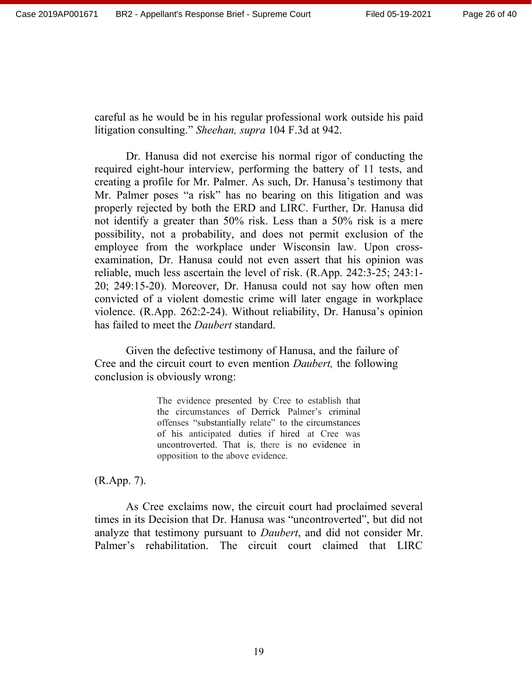careful as he would be in his regular professional work outside his paid litigation consulting." *Sheehan, supra* 104 F.3d at 942.

Dr. Hanusa did not exercise his normal rigor of conducting the required eight-hour interview, performing the battery of 11 tests, and creating a profile for Mr. Palmer. As such, Dr. Hanusa's testimony that Mr. Palmer poses "a risk" has no bearing on this litigation and was properly rejected by both the ERD and LIRC. Further, Dr. Hanusa did not identify a greater than 50% risk. Less than a 50% risk is a mere possibility, not a probability, and does not permit exclusion of the employee from the workplace under Wisconsin law. Upon crossexamination, Dr. Hanusa could not even assert that his opinion was reliable, much less ascertain the level of risk. (R.App. 242:3-25; 243:1- 20; 249:15-20). Moreover, Dr. Hanusa could not say how often men convicted of a violent domestic crime will later engage in workplace violence. (R.App. 262:2-24). Without reliability, Dr. Hanusa's opinion has failed to meet the *Daubert* standard.

Given the defective testimony of Hanusa, and the failure of Cree and the circuit court to even mention *Daubert,* the following conclusion is obviously wrong:

> The evidence presented by Cree to establish that the circumstances of Derrick Palmer's criminal offenses "substantially relate" to the circumstances of his anticipated duties if hired at Cree was uncontroverted. That is, there is no evidence in opposition to the above evidence.

(R.App. 7).

As Cree exclaims now, the circuit court had proclaimed several times in its Decision that Dr. Hanusa was "uncontroverted", but did not analyze that testimony pursuant to *Daubert*, and did not consider Mr. Palmer's rehabilitation. The circuit court claimed that LIRC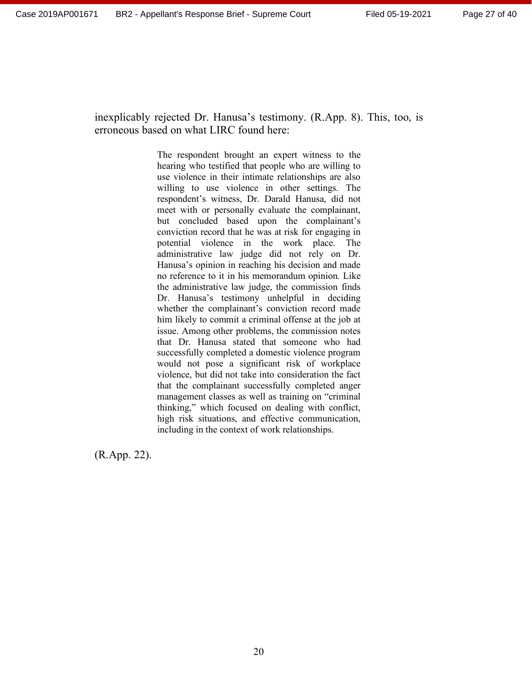inexplicably rejected Dr. Hanusa's testimony. (R.App. 8). This, too, is erroneous based on what LIRC found here:

> The respondent brought an expert witness to the hearing who testified that people who are willing to use violence in their intimate relationships are also willing to use violence in other settings. The respondent's witness, Dr. Darald Hanusa, did not meet with or personally evaluate the complainant, but concluded based upon the complainant's conviction record that he was at risk for engaging in potential violence in the work place. The administrative law judge did not rely on Dr. Hanusa's opinion in reaching his decision and made no reference to it in his memorandum opinion. Like the administrative law judge, the commission finds Dr. Hanusa's testimony unhelpful in deciding whether the complainant's conviction record made him likely to commit a criminal offense at the job at issue. Among other problems, the commission notes that Dr. Hanusa stated that someone who had successfully completed a domestic violence program would not pose a significant risk of workplace violence, but did not take into consideration the fact that the complainant successfully completed anger management classes as well as training on "criminal thinking," which focused on dealing with conflict, high risk situations, and effective communication, including in the context of work relationships.

(R.App. 22).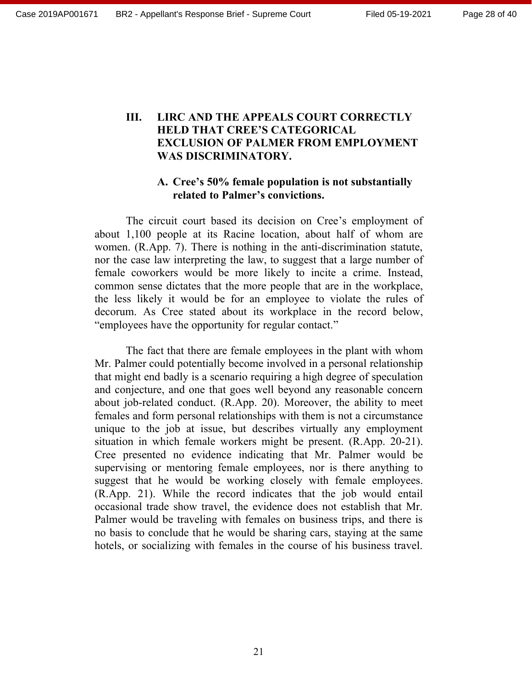# **III. LIRC AND THE APPEALS COURT CORRECTLY HELD THAT CREE'S CATEGORICAL EXCLUSION OF PALMER FROM EMPLOYMENT WAS DISCRIMINATORY.**

# **A. Cree's 50% female population is not substantially related to Palmer's convictions.**

The circuit court based its decision on Cree's employment of about 1,100 people at its Racine location, about half of whom are women. (R.App. 7). There is nothing in the anti-discrimination statute, nor the case law interpreting the law, to suggest that a large number of female coworkers would be more likely to incite a crime. Instead, common sense dictates that the more people that are in the workplace, the less likely it would be for an employee to violate the rules of decorum. As Cree stated about its workplace in the record below, "employees have the opportunity for regular contact."

The fact that there are female employees in the plant with whom Mr. Palmer could potentially become involved in a personal relationship that might end badly is a scenario requiring a high degree of speculation and conjecture, and one that goes well beyond any reasonable concern about job-related conduct. (R.App. 20). Moreover, the ability to meet females and form personal relationships with them is not a circumstance unique to the job at issue, but describes virtually any employment situation in which female workers might be present. (R.App. 20-21). Cree presented no evidence indicating that Mr. Palmer would be supervising or mentoring female employees, nor is there anything to suggest that he would be working closely with female employees. (R.App. 21). While the record indicates that the job would entail occasional trade show travel, the evidence does not establish that Mr. Palmer would be traveling with females on business trips, and there is no basis to conclude that he would be sharing cars, staying at the same hotels, or socializing with females in the course of his business travel.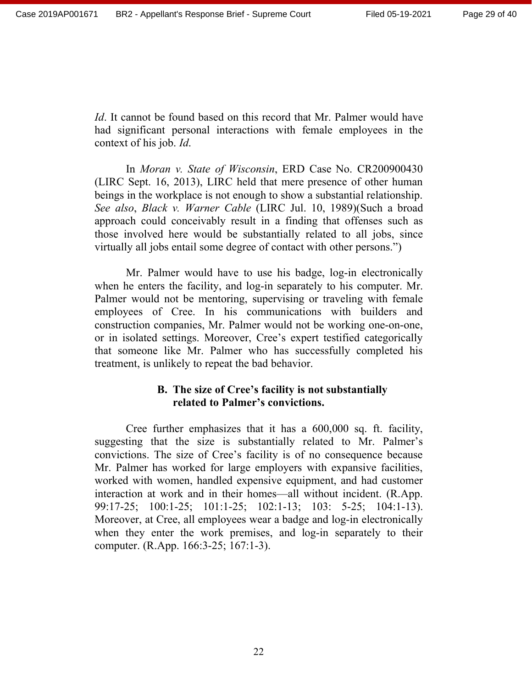*Id*. It cannot be found based on this record that Mr. Palmer would have had significant personal interactions with female employees in the context of his job. *Id*.

In *Moran v. State of Wisconsin*, ERD Case No. CR200900430 (LIRC Sept. 16, 2013), LIRC held that mere presence of other human beings in the workplace is not enough to show a substantial relationship. *See also*, *Black v. Warner Cable* (LIRC Jul. 10, 1989)(Such a broad approach could conceivably result in a finding that offenses such as those involved here would be substantially related to all jobs, since virtually all jobs entail some degree of contact with other persons.")

Mr. Palmer would have to use his badge, log-in electronically when he enters the facility, and log-in separately to his computer. Mr. Palmer would not be mentoring, supervising or traveling with female employees of Cree. In his communications with builders and construction companies, Mr. Palmer would not be working one-on-one, or in isolated settings. Moreover, Cree's expert testified categorically that someone like Mr. Palmer who has successfully completed his treatment, is unlikely to repeat the bad behavior.

#### **B. The size of Cree's facility is not substantially related to Palmer's convictions.**

Cree further emphasizes that it has a 600,000 sq. ft. facility, suggesting that the size is substantially related to Mr. Palmer's convictions. The size of Cree's facility is of no consequence because Mr. Palmer has worked for large employers with expansive facilities, worked with women, handled expensive equipment, and had customer interaction at work and in their homes—all without incident. (R.App. 99:17-25; 100:1-25; 101:1-25; 102:1-13; 103: 5-25; 104:1-13). Moreover, at Cree, all employees wear a badge and log-in electronically when they enter the work premises, and log-in separately to their computer. (R.App. 166:3-25; 167:1-3).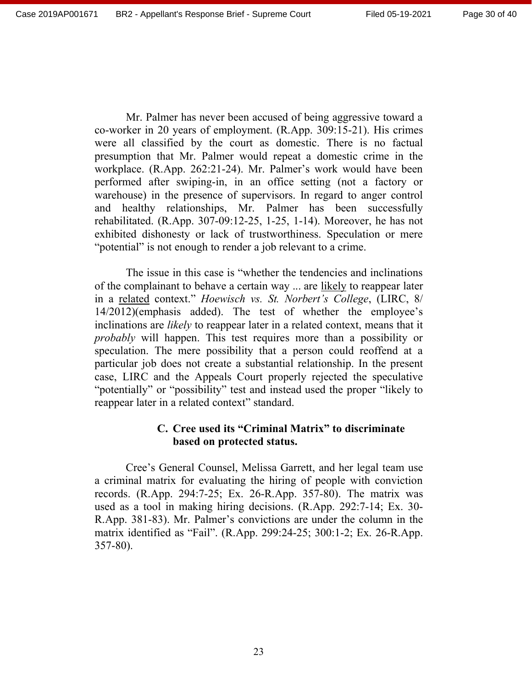Mr. Palmer has never been accused of being aggressive toward a co-worker in 20 years of employment. (R.App. 309:15-21). His crimes were all classified by the court as domestic. There is no factual presumption that Mr. Palmer would repeat a domestic crime in the workplace. (R.App. 262:21-24). Mr. Palmer's work would have been performed after swiping-in, in an office setting (not a factory or warehouse) in the presence of supervisors. In regard to anger control and healthy relationships, Mr. Palmer has been successfully rehabilitated. (R.App. 307-09:12-25, 1-25, 1-14). Moreover, he has not exhibited dishonesty or lack of trustworthiness. Speculation or mere "potential" is not enough to render a job relevant to a crime.

The issue in this case is "whether the tendencies and inclinations of the complainant to behave a certain way ... are likely to reappear later in a related context." *Hoewisch vs. St. Norbert's College*, (LIRC, 8/ 14/2012)(emphasis added). The test of whether the employee's inclinations are *likely* to reappear later in a related context, means that it *probably* will happen. This test requires more than a possibility or speculation. The mere possibility that a person could reoffend at a particular job does not create a substantial relationship. In the present case, LIRC and the Appeals Court properly rejected the speculative "potentially" or "possibility" test and instead used the proper "likely to reappear later in a related context" standard.

# **C. Cree used its "Criminal Matrix" to discriminate based on protected status.**

Cree's General Counsel, Melissa Garrett, and her legal team use a criminal matrix for evaluating the hiring of people with conviction records. (R.App. 294:7-25; Ex. 26-R.App. 357-80). The matrix was used as a tool in making hiring decisions. (R.App. 292:7-14; Ex. 30- R.App. 381-83). Mr. Palmer's convictions are under the column in the matrix identified as "Fail". (R.App. 299:24-25; 300:1-2; Ex. 26-R.App. 357-80).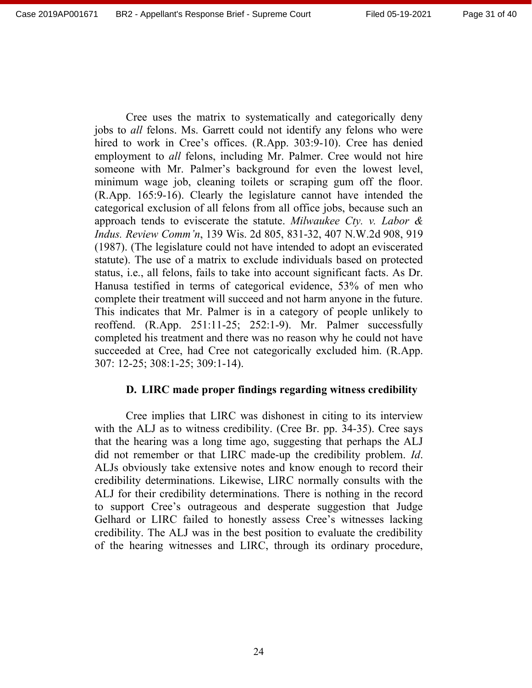Cree uses the matrix to systematically and categorically deny jobs to *all* felons. Ms. Garrett could not identify any felons who were hired to work in Cree's offices. (R.App. 303:9-10). Cree has denied employment to *all* felons, including Mr. Palmer. Cree would not hire someone with Mr. Palmer's background for even the lowest level, minimum wage job, cleaning toilets or scraping gum off the floor. (R.App. 165:9-16). Clearly the legislature cannot have intended the categorical exclusion of all felons from all office jobs, because such an approach tends to eviscerate the statute. *Milwaukee Cty. v. Labor & Indus. Review Comm'n*, 139 Wis. 2d 805, 831-32, 407 N.W.2d 908, 919 (1987). (The legislature could not have intended to adopt an eviscerated statute). The use of a matrix to exclude individuals based on protected status, i.e., all felons, fails to take into account significant facts. As Dr. Hanusa testified in terms of categorical evidence, 53% of men who complete their treatment will succeed and not harm anyone in the future. This indicates that Mr. Palmer is in a category of people unlikely to reoffend. (R.App. 251:11-25; 252:1-9). Mr. Palmer successfully completed his treatment and there was no reason why he could not have succeeded at Cree, had Cree not categorically excluded him. (R.App. 307: 12-25; 308:1-25; 309:1-14).

#### **D. LIRC made proper findings regarding witness credibility**

Cree implies that LIRC was dishonest in citing to its interview with the ALJ as to witness credibility. (Cree Br. pp. 34-35). Cree says that the hearing was a long time ago, suggesting that perhaps the ALJ did not remember or that LIRC made-up the credibility problem. *Id*. ALJs obviously take extensive notes and know enough to record their credibility determinations. Likewise, LIRC normally consults with the ALJ for their credibility determinations. There is nothing in the record to support Cree's outrageous and desperate suggestion that Judge Gelhard or LIRC failed to honestly assess Cree's witnesses lacking credibility. The ALJ was in the best position to evaluate the credibility of the hearing witnesses and LIRC, through its ordinary procedure,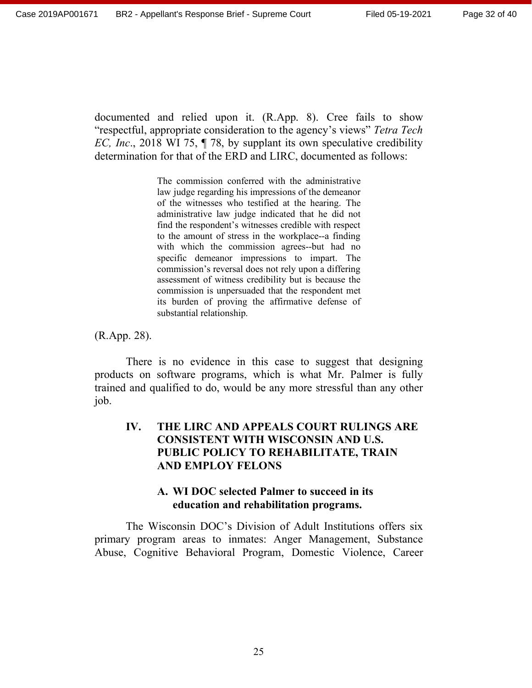documented and relied upon it. (R.App. 8). Cree fails to show "respectful, appropriate consideration to the agency's views" *Tetra Tech EC, Inc*., 2018 WI 75, ¶ 78, by supplant its own speculative credibility determination for that of the ERD and LIRC, documented as follows:

> The commission conferred with the administrative law judge regarding his impressions of the demeanor of the witnesses who testified at the hearing. The administrative law judge indicated that he did not find the respondent's witnesses credible with respect to the amount of stress in the workplace--a finding with which the commission agrees--but had no specific demeanor impressions to impart. The commission's reversal does not rely upon a differing assessment of witness credibility but is because the commission is unpersuaded that the respondent met its burden of proving the affirmative defense of substantial relationship.

(R.App. 28).

There is no evidence in this case to suggest that designing products on software programs, which is what Mr. Palmer is fully trained and qualified to do, would be any more stressful than any other job.

# **IV. THE LIRC AND APPEALS COURT RULINGS ARE CONSISTENT WITH WISCONSIN AND U.S. PUBLIC POLICY TO REHABILITATE, TRAIN AND EMPLOY FELONS**

# **A. WI DOC selected Palmer to succeed in its education and rehabilitation programs.**

The Wisconsin DOC's Division of Adult Institutions offers six primary program areas to inmates: Anger Management, Substance Abuse, Cognitive Behavioral Program, Domestic Violence, Career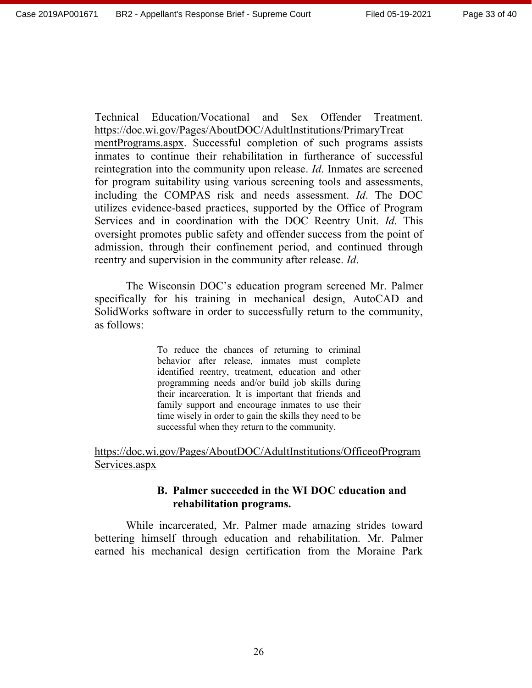Technical Education/Vocational and Sex Offender Treatment. https://doc.wi.gov/Pages/AboutDOC/AdultInstitutions/PrimaryTreat mentPrograms.aspx. Successful completion of such programs assists inmates to continue their rehabilitation in furtherance of successful reintegration into the community upon release. *Id*. Inmates are screened for program suitability using various screening tools and assessments, including the COMPAS risk and needs assessment. *Id*. The DOC utilizes evidence-based practices, supported by the Office of Program Services and in coordination with the DOC Reentry Unit. *Id*. This oversight promotes public safety and offender success from the point of admission, through their confinement period, and continued through reentry and supervision in the community after release. *Id*.

The Wisconsin DOC's education program screened Mr. Palmer specifically for his training in mechanical design, AutoCAD and SolidWorks software in order to successfully return to the community, as follows:

> To reduce the chances of returning to criminal behavior after release, inmates must complete identified reentry, treatment, education and other programming needs and/or build job skills during their incarceration. It is important that friends and family support and encourage inmates to use their time wisely in order to gain the skills they need to be successful when they return to the community.

https://doc.wi.gov/Pages/AboutDOC/AdultInstitutions/OfficeofProgram Services.aspx

# **B. Palmer succeeded in the WI DOC education and rehabilitation programs.**

While incarcerated, Mr. Palmer made amazing strides toward bettering himself through education and rehabilitation. Mr. Palmer earned his mechanical design certification from the Moraine Park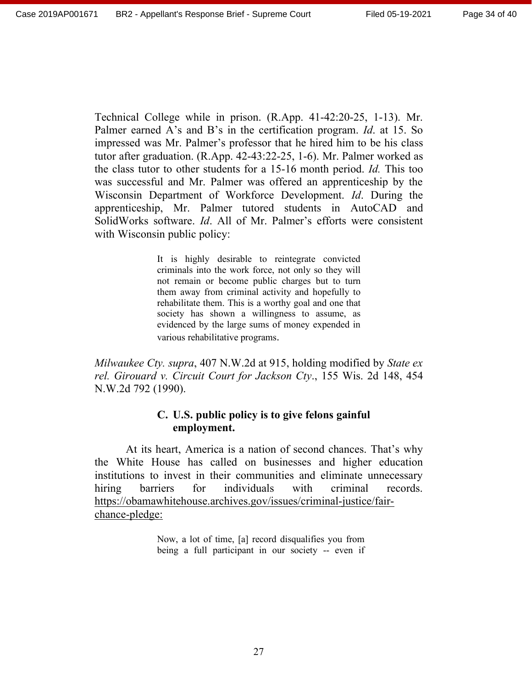Technical College while in prison. (R.App. 41-42:20-25, 1-13). Mr. Palmer earned A's and B's in the certification program. *Id*. at 15. So impressed was Mr. Palmer's professor that he hired him to be his class tutor after graduation. (R.App. 42-43:22-25, 1-6). Mr. Palmer worked as the class tutor to other students for a 15-16 month period. *Id.* This too was successful and Mr. Palmer was offered an apprenticeship by the Wisconsin Department of Workforce Development. *Id*. During the apprenticeship, Mr. Palmer tutored students in AutoCAD and SolidWorks software. *Id*. All of Mr. Palmer's efforts were consistent with Wisconsin public policy:

> It is highly desirable to reintegrate convicted criminals into the work force, not only so they will not remain or become public charges but to turn them away from criminal activity and hopefully to rehabilitate them. This is a worthy goal and one that society has shown a willingness to assume, as evidenced by the large sums of money expended in various rehabilitative programs.

*Milwaukee Cty. supra*, 407 N.W.2d at 915, holding modified by *State ex rel. Girouard v. Circuit Court for Jackson Cty*., 155 Wis. 2d 148, 454 N.W.2d 792 (1990).

#### **C. U.S. public policy is to give felons gainful employment.**

At its heart, America is a nation of second chances. That's why the White House has called on businesses and higher education institutions to invest in their communities and eliminate unnecessary hiring barriers for individuals with criminal records. https://obamawhitehouse.archives.gov/issues/criminal-justice/fairchance-pledge:

> Now, a lot of time, [a] record disqualifies you from being a full participant in our society -- even if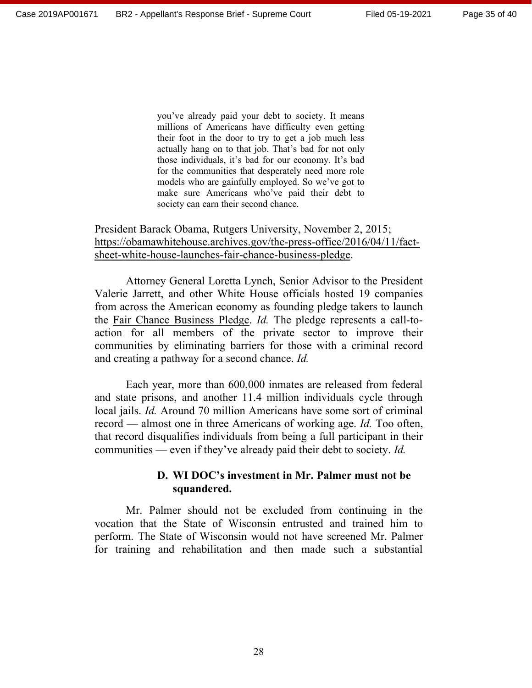you've already paid your debt to society. It means millions of Americans have difficulty even getting their foot in the door to try to get a job much less actually hang on to that job. That's bad for not only those individuals, it's bad for our economy. It's bad for the communities that desperately need more role models who are gainfully employed. So we've got to make sure Americans who've paid their debt to society can earn their second chance.

President Barack Obama, Rutgers University, November 2, 2015; https://obamawhitehouse.archives.gov/the-press-office/2016/04/11/factsheet-white-house-launches-fair-chance-business-pledge.

Attorney General Loretta Lynch, Senior Advisor to the President Valerie Jarrett, and other White House officials hosted 19 companies from across the American economy as founding pledge takers to launch the Fair Chance Business Pledge. *Id.* The pledge represents a call-toaction for all members of the private sector to improve their communities by eliminating barriers for those with a criminal record and creating a pathway for a second chance. *Id.*

Each year, more than 600,000 inmates are released from federal and state prisons, and another 11.4 million individuals cycle through local jails. *Id.* Around 70 million Americans have some sort of criminal record — almost one in three Americans of working age. *Id.* Too often, that record disqualifies individuals from being a full participant in their communities — even if they've already paid their debt to society. *Id.* 

#### **D. WI DOC's investment in Mr. Palmer must not be squandered.**

Mr. Palmer should not be excluded from continuing in the vocation that the State of Wisconsin entrusted and trained him to perform. The State of Wisconsin would not have screened Mr. Palmer for training and rehabilitation and then made such a substantial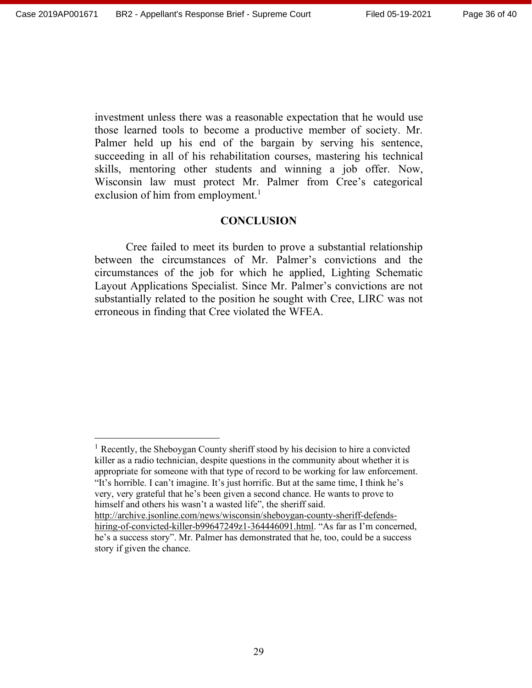investment unless there was a reasonable expectation that he would use those learned tools to become a productive member of society. Mr. Palmer held up his end of the bargain by serving his sentence, succeeding in all of his rehabilitation courses, mastering his technical skills, mentoring other students and winning a job offer. Now, Wisconsin law must protect Mr. Palmer from Cree's categorical exclusion of him from employment.<sup>1</sup>

#### **CONCLUSION**

Cree failed to meet its burden to prove a substantial relationship between the circumstances of Mr. Palmer's convictions and the circumstances of the job for which he applied, Lighting Schematic Layout Applications Specialist. Since Mr. Palmer's convictions are not substantially related to the position he sought with Cree, LIRC was not erroneous in finding that Cree violated the WFEA.

<sup>1</sup> Recently, the Sheboygan County sheriff stood by his decision to hire a convicted killer as a radio technician, despite questions in the community about whether it is appropriate for someone with that type of record to be working for law enforcement. "It's horrible. I can't imagine. It's just horrific. But at the same time, I think he's very, very grateful that he's been given a second chance. He wants to prove to himself and others his wasn't a wasted life", the sheriff said. http://archive.jsonline.com/news/wisconsin/sheboygan-county-sheriff-defends-

hiring-of-convicted-killer-b99647249z1-364446091.html. "As far as I'm concerned, he's a success story". Mr. Palmer has demonstrated that he, too, could be a success story if given the chance.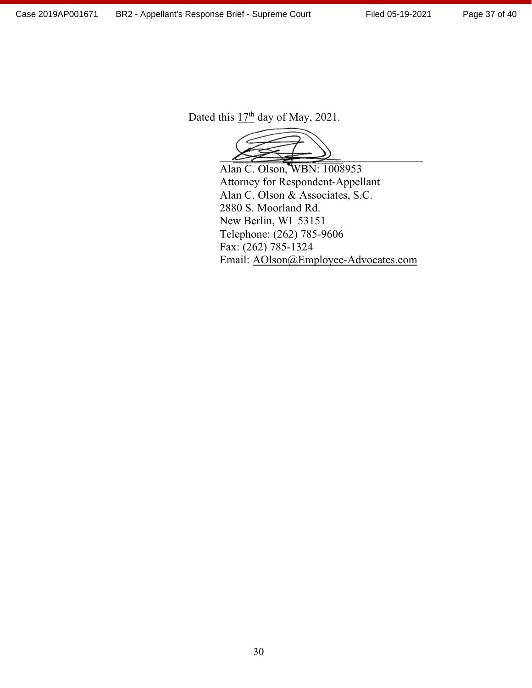Dated this  $17<sup>th</sup>$  day of May, 2021.

 $\bigtimes$ 

Alan C. Olson, WBN: 1008953 Attorney for Respondent-Appellant Alan C. Olson & Associates, S.C. 2880 S. Moorland Rd. New Berlin, WI 53151 Telephone: (262) 785-9606 Fax: (262) 785-1324 Email: AOlson@Employee-Advocates.com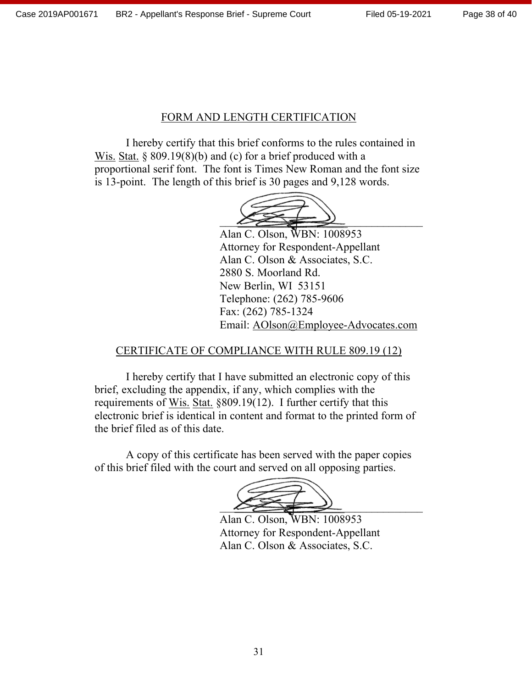# FORM AND LENGTH CERTIFICATION

I hereby certify that this brief conforms to the rules contained in Wis. Stat.  $\S 809.19(8)(b)$  and (c) for a brief produced with a proportional serif font. The font is Times New Roman and the font size is 13-point. The length of this brief is 30 pages and 9,128 words.



Alan C. Olson, WBN: 1008953 Attorney for Respondent-Appellant Alan C. Olson & Associates, S.C. 2880 S. Moorland Rd. New Berlin, WI 53151 Telephone: (262) 785-9606 Fax: (262) 785-1324 Email: AOlson@Employee-Advocates.com

# CERTIFICATE OF COMPLIANCE WITH RULE 809.19 (12)

I hereby certify that I have submitted an electronic copy of this brief, excluding the appendix, if any, which complies with the requirements of Wis. Stat. §809.19(12). I further certify that this electronic brief is identical in content and format to the printed form of the brief filed as of this date.

A copy of this certificate has been served with the paper copies of this brief filed with the court and served on all opposing parties.

 $\bigwedge$ 

Alan C. Olson, WBN: 1008953 Attorney for Respondent-Appellant Alan C. Olson & Associates, S.C.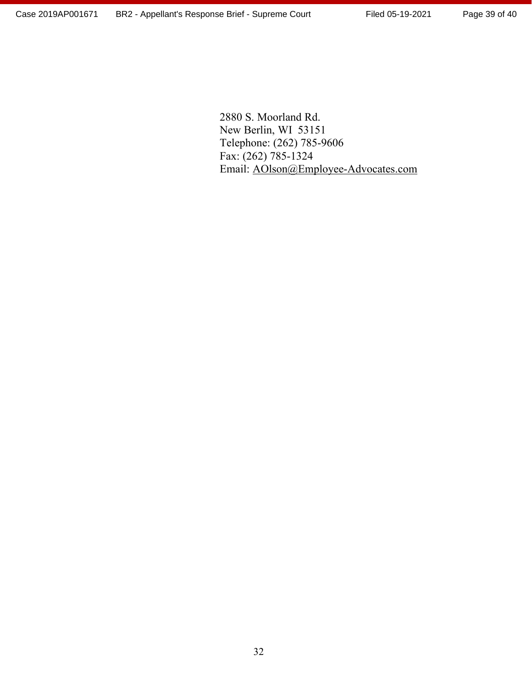2880 S. Moorland Rd. New Berlin, WI 53151 Telephone: (262) 785-9606 Fax: (262) 785-1324 Email: AOlson@Employee-Advocates.com